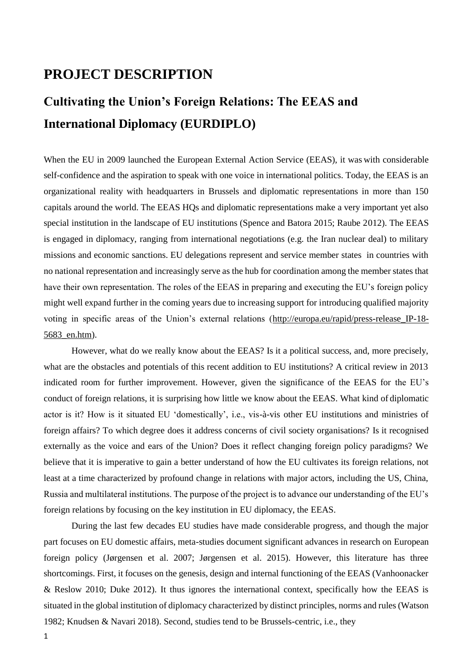## **PROJECT DESCRIPTION**

# **Cultivating the Union's Foreign Relations: The EEAS and International Diplomacy (EURDIPLO)**

When the EU in 2009 launched the European External Action Service (EEAS), it was with considerable self-confidence and the aspiration to speak with one voice in international politics. Today, the EEAS is an organizational reality with headquarters in Brussels and diplomatic representations in more than 150 capitals around the world. The EEAS HQs and diplomatic representations make a very important yet also special institution in the landscape of EU institutions (Spence and Batora 2015; Raube 2012). The EEAS is engaged in diplomacy, ranging from international negotiations (e.g. the Iran nuclear deal) to military missions and economic sanctions. EU delegations represent and service member states in countries with no national representation and increasingly serve as the hub for coordination among the member states that have their own representation. The roles of the EEAS in preparing and executing the EU's foreign policy might well expand further in the coming years due to increasing support for introducing qualified majority voting in specific areas of the Union's external relations [\(http://europa.eu/rapid/press-release\\_IP-18-](http://europa.eu/rapid/press-release_IP-18-5683_en.htm) [5683\\_en.htm\)](http://europa.eu/rapid/press-release_IP-18-5683_en.htm).

However, what do we really know about the EEAS? Is it a political success, and, more precisely, what are the obstacles and potentials of this recent addition to EU institutions? A critical review in 2013 indicated room for further improvement. However, given the significance of the EEAS for the EU's conduct of foreign relations, it is surprising how little we know about the EEAS. What kind of diplomatic actor is it? How is it situated EU 'domestically', i.e., vis-à-vis other EU institutions and ministries of foreign affairs? To which degree does it address concerns of civil society organisations? Is it recognised externally as the voice and ears of the Union? Does it reflect changing foreign policy paradigms? We believe that it is imperative to gain a better understand of how the EU cultivates its foreign relations, not least at a time characterized by profound change in relations with major actors, including the US, China, Russia and multilateral institutions. The purpose of the project is to advance our understanding of the EU's foreign relations by focusing on the key institution in EU diplomacy, the EEAS.

During the last few decades EU studies have made considerable progress, and though the major part focuses on EU domestic affairs, meta-studies document significant advances in research on European foreign policy (Jørgensen et al. 2007; Jørgensen et al. 2015). However, this literature has three shortcomings. First, it focuses on the genesis, design and internal functioning of the EEAS (Vanhoonacker & Reslow 2010; Duke 2012). It thus ignores the international context, specifically how the EEAS is situated in the global institution of diplomacy characterized by distinct principles, norms and rules (Watson 1982; Knudsen & Navari 2018). Second, studies tend to be Brussels-centric, i.e., they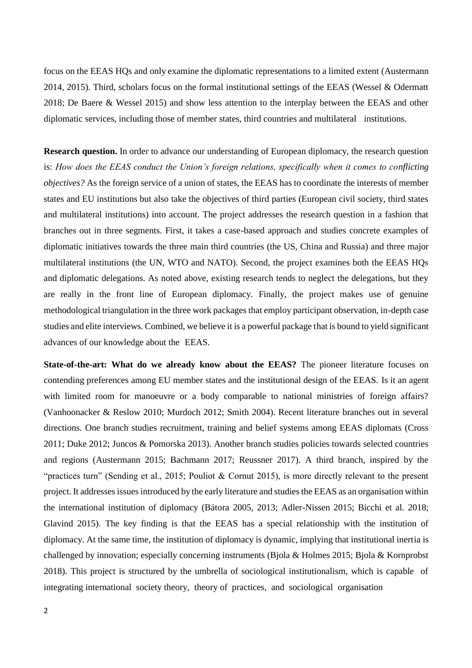focus on the EEAS HQs and only examine the diplomatic representations to a limited extent (Austermann 2014, 2015). Third, scholars focus on the formal institutional settings of the EEAS (Wessel & Odermatt 2018; De Baere & Wessel 2015) and show less attention to the interplay between the EEAS and other diplomatic services, including those of member states, third countries and multilateral institutions.

**Research question.** In order to advance our understanding of European diplomacy, the research question is: *How does the EEAS conduct the Union's foreign relations, specifically when it comes to conflicting objectives?* As the foreign service of a union of states, the EEAS has to coordinate the interests of member states and EU institutions but also take the objectives of third parties (European civil society, third states and multilateral institutions) into account. The project addresses the research question in a fashion that branches out in three segments. First, it takes a case-based approach and studies concrete examples of diplomatic initiatives towards the three main third countries (the US, China and Russia) and three major multilateral institutions (the UN, WTO and NATO). Second, the project examines both the EEAS HQs and diplomatic delegations. As noted above, existing research tends to neglect the delegations, but they are really in the front line of European diplomacy. Finally, the project makes use of genuine methodological triangulation in the three work packages that employ participant observation, in-depth case studies and elite interviews. Combined, we believe it is a powerful package that is bound to yield significant advances of our knowledge about the EEAS.

**State-of-the-art: What do we already know about the EEAS?** The pioneer literature focuses on contending preferences among EU member states and the institutional design of the EEAS. Is it an agent with limited room for manoeuvre or a body comparable to national ministries of foreign affairs? (Vanhoonacker & Reslow 2010; Murdoch 2012; Smith 2004). Recent literature branches out in several directions. One branch studies recruitment, training and belief systems among EEAS diplomats (Cross 2011; Duke 2012; Juncos & Pomorska 2013). Another branch studies policies towards selected countries and regions (Austermann 2015; Bachmann 2017; Reussner 2017). A third branch, inspired by the "practices turn" (Sending et al., 2015; Pouliot & Cornut 2015), is more directly relevant to the present project. It addresses issues introduced by the early literature and studies the EEAS as an organisation within the international institution of diplomacy (Bátora 2005, 2013; Adler-Nissen 2015; Bicchi et al. 2018; Glavind 2015). The key finding is that the EEAS has a special relationship with the institution of diplomacy. At the same time, the institution of diplomacy is dynamic, implying that institutional inertia is challenged by innovation; especially concerning instruments (Bjola & Holmes 2015; Bjola & Kornprobst 2018). This project is structured by the umbrella of sociological institutionalism, which is capable of integrating international society theory, theory of practices, and sociological organisation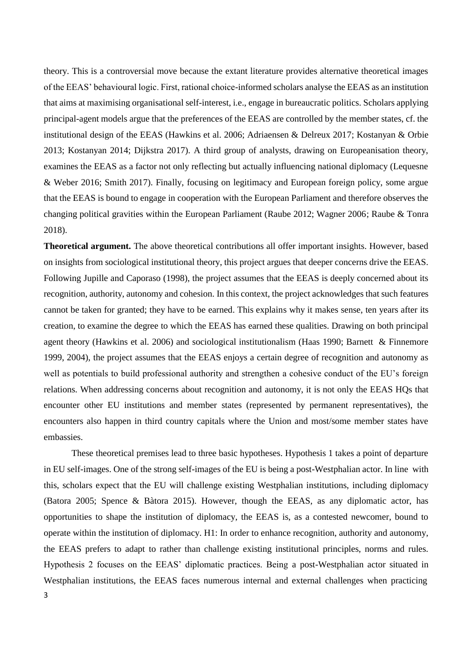theory. This is a controversial move because the extant literature provides alternative theoretical images of the EEAS' behavioural logic. First, rational choice-informed scholars analyse the EEAS as an institution that aims at maximising organisational self-interest, i.e., engage in bureaucratic politics. Scholars applying principal-agent models argue that the preferences of the EEAS are controlled by the member states, cf. the institutional design of the EEAS (Hawkins et al. 2006; Adriaensen & Delreux 2017; Kostanyan & Orbie 2013; Kostanyan 2014; Dijkstra 2017). A third group of analysts, drawing on Europeanisation theory, examines the EEAS as a factor not only reflecting but actually influencing national diplomacy (Lequesne & Weber 2016; Smith 2017). Finally, focusing on legitimacy and European foreign policy, some argue that the EEAS is bound to engage in cooperation with the European Parliament and therefore observes the changing political gravities within the European Parliament (Raube 2012; Wagner 2006; Raube & Tonra 2018).

**Theoretical argument.** The above theoretical contributions all offer important insights. However, based on insights from sociological institutional theory, this project argues that deeper concerns drive the EEAS. Following Jupille and Caporaso (1998), the project assumes that the EEAS is deeply concerned about its recognition, authority, autonomy and cohesion. In this context, the project acknowledges that such features cannot be taken for granted; they have to be earned. This explains why it makes sense, ten years after its creation, to examine the degree to which the EEAS has earned these qualities. Drawing on both principal agent theory (Hawkins et al. 2006) and sociological institutionalism (Haas 1990; Barnett & Finnemore 1999, 2004), the project assumes that the EEAS enjoys a certain degree of recognition and autonomy as well as potentials to build professional authority and strengthen a cohesive conduct of the EU's foreign relations. When addressing concerns about recognition and autonomy, it is not only the EEAS HQs that encounter other EU institutions and member states (represented by permanent representatives), the encounters also happen in third country capitals where the Union and most/some member states have embassies.

These theoretical premises lead to three basic hypotheses. Hypothesis 1 takes a point of departure in EU self-images. One of the strong self-images of the EU is being a post-Westphalian actor. In line with this, scholars expect that the EU will challenge existing Westphalian institutions, including diplomacy (Batora 2005; Spence & Bàtora 2015). However, though the EEAS, as any diplomatic actor, has opportunities to shape the institution of diplomacy, the EEAS is, as a contested newcomer, bound to operate within the institution of diplomacy. H1: In order to enhance recognition, authority and autonomy, the EEAS prefers to adapt to rather than challenge existing institutional principles, norms and rules. Hypothesis 2 focuses on the EEAS' diplomatic practices. Being a post-Westphalian actor situated in Westphalian institutions, the EEAS faces numerous internal and external challenges when practicing 3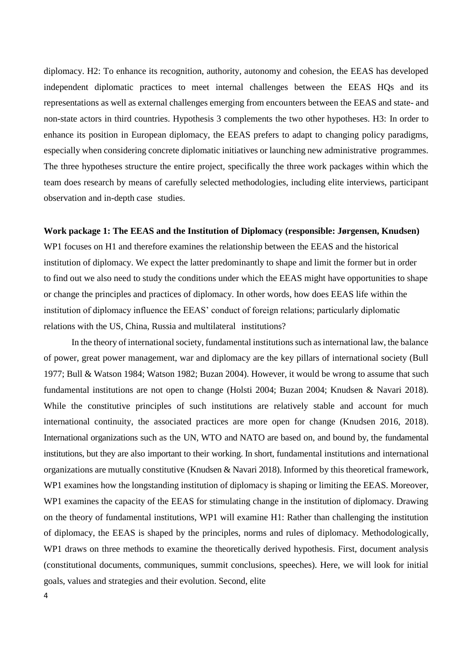diplomacy. H2: To enhance its recognition, authority, autonomy and cohesion, the EEAS has developed independent diplomatic practices to meet internal challenges between the EEAS HQs and its representations as well as external challenges emerging from encounters between the EEAS and state- and non-state actors in third countries. Hypothesis 3 complements the two other hypotheses. H3: In order to enhance its position in European diplomacy, the EEAS prefers to adapt to changing policy paradigms, especially when considering concrete diplomatic initiatives or launching new administrative programmes. The three hypotheses structure the entire project, specifically the three work packages within which the team does research by means of carefully selected methodologies, including elite interviews, participant observation and in-depth case studies.

### **Work package 1: The EEAS and the Institution of Diplomacy (responsible: Jørgensen, Knudsen)**

WP1 focuses on H1 and therefore examines the relationship between the EEAS and the historical institution of diplomacy. We expect the latter predominantly to shape and limit the former but in order to find out we also need to study the conditions under which the EEAS might have opportunities to shape or change the principles and practices of diplomacy. In other words, how does EEAS life within the institution of diplomacy influence the EEAS' conduct of foreign relations; particularly diplomatic relations with the US, China, Russia and multilateral institutions?

In the theory of international society, fundamental institutions such as international law, the balance of power, great power management, war and diplomacy are the key pillars of international society (Bull 1977; Bull & Watson 1984; Watson 1982; Buzan 2004). However, it would be wrong to assume that such fundamental institutions are not open to change (Holsti 2004; Buzan 2004; Knudsen & Navari 2018). While the constitutive principles of such institutions are relatively stable and account for much international continuity, the associated practices are more open for change (Knudsen 2016, 2018). International organizations such as the UN, WTO and NATO are based on, and bound by, the fundamental institutions, but they are also important to their working. In short, fundamental institutions and international organizations are mutually constitutive (Knudsen & Navari 2018). Informed by this theoretical framework, WP1 examines how the longstanding institution of diplomacy is shaping or limiting the EEAS. Moreover, WP1 examines the capacity of the EEAS for stimulating change in the institution of diplomacy. Drawing on the theory of fundamental institutions, WP1 will examine H1: Rather than challenging the institution of diplomacy, the EEAS is shaped by the principles, norms and rules of diplomacy. Methodologically, WP1 draws on three methods to examine the theoretically derived hypothesis. First, document analysis (constitutional documents, communiques, summit conclusions, speeches). Here, we will look for initial goals, values and strategies and their evolution. Second, elite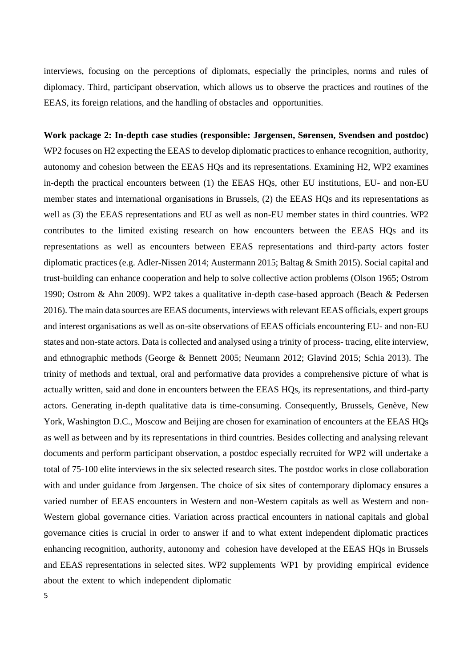interviews, focusing on the perceptions of diplomats, especially the principles, norms and rules of diplomacy. Third, participant observation, which allows us to observe the practices and routines of the EEAS, its foreign relations, and the handling of obstacles and opportunities.

**Work package 2: In-depth case studies (responsible: Jørgensen, Sørensen, Svendsen and postdoc)**  WP2 focuses on H2 expecting the EEAS to develop diplomatic practices to enhance recognition, authority, autonomy and cohesion between the EEAS HQs and its representations. Examining H2, WP2 examines in-depth the practical encounters between (1) the EEAS HQs, other EU institutions, EU- and non-EU member states and international organisations in Brussels, (2) the EEAS HQs and its representations as well as (3) the EEAS representations and EU as well as non-EU member states in third countries. WP2 contributes to the limited existing research on how encounters between the EEAS HQs and its representations as well as encounters between EEAS representations and third-party actors foster diplomatic practices (e.g. Adler-Nissen 2014; Austermann 2015; Baltag & Smith 2015). Social capital and trust-building can enhance cooperation and help to solve collective action problems (Olson 1965; Ostrom 1990; Ostrom & Ahn 2009). WP2 takes a qualitative in-depth case-based approach (Beach & Pedersen 2016). The main data sources are EEAS documents, interviews with relevant EEAS officials, expert groups and interest organisations as well as on-site observations of EEAS officials encountering EU- and non-EU states and non-state actors. Data is collected and analysed using a trinity of process- tracing, elite interview, and ethnographic methods (George & Bennett 2005; Neumann 2012; Glavind 2015; Schia 2013). The trinity of methods and textual, oral and performative data provides a comprehensive picture of what is actually written, said and done in encounters between the EEAS HQs, its representations, and third-party actors. Generating in-depth qualitative data is time-consuming. Consequently, Brussels, Genève, New York, Washington D.C., Moscow and Beijing are chosen for examination of encounters at the EEAS HQs as well as between and by its representations in third countries. Besides collecting and analysing relevant documents and perform participant observation, a postdoc especially recruited for WP2 will undertake a total of 75-100 elite interviews in the six selected research sites. The postdoc works in close collaboration with and under guidance from Jørgensen. The choice of six sites of contemporary diplomacy ensures a varied number of EEAS encounters in Western and non-Western capitals as well as Western and non-Western global governance cities. Variation across practical encounters in national capitals and global governance cities is crucial in order to answer if and to what extent independent diplomatic practices enhancing recognition, authority, autonomy and cohesion have developed at the EEAS HQs in Brussels and EEAS representations in selected sites. WP2 supplements WP1 by providing empirical evidence about the extent to which independent diplomatic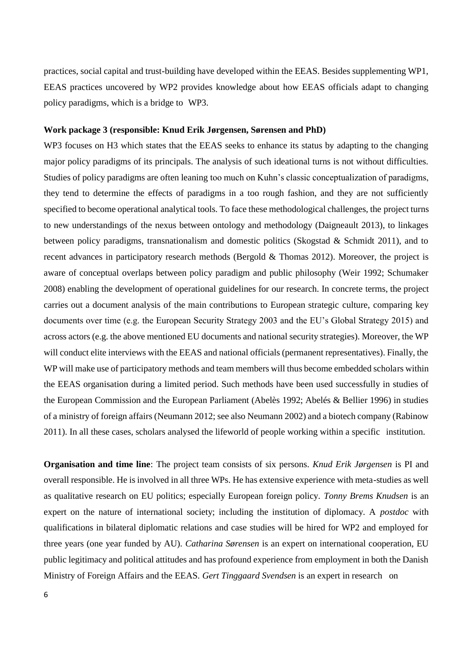practices, social capital and trust-building have developed within the EEAS. Besides supplementing WP1, EEAS practices uncovered by WP2 provides knowledge about how EEAS officials adapt to changing policy paradigms, which is a bridge to WP3.

#### **Work package 3 (responsible: Knud Erik Jørgensen, Sørensen and PhD)**

WP3 focuses on H3 which states that the EEAS seeks to enhance its status by adapting to the changing major policy paradigms of its principals. The analysis of such ideational turns is not without difficulties. Studies of policy paradigms are often leaning too much on Kuhn's classic conceptualization of paradigms, they tend to determine the effects of paradigms in a too rough fashion, and they are not sufficiently specified to become operational analytical tools. To face these methodological challenges, the project turns to new understandings of the nexus between ontology and methodology (Daigneault 2013), to linkages between policy paradigms, transnationalism and domestic politics (Skogstad & Schmidt 2011), and to recent advances in participatory research methods (Bergold & Thomas 2012). Moreover, the project is aware of conceptual overlaps between policy paradigm and public philosophy (Weir 1992; Schumaker 2008) enabling the development of operational guidelines for our research. In concrete terms, the project carries out a document analysis of the main contributions to European strategic culture, comparing key documents over time (e.g. the European Security Strategy 2003 and the EU's Global Strategy 2015) and across actors (e.g. the above mentioned EU documents and national security strategies). Moreover, the WP will conduct elite interviews with the EEAS and national officials (permanent representatives). Finally, the WP will make use of participatory methods and team members will thus become embedded scholars within the EEAS organisation during a limited period. Such methods have been used successfully in studies of the European Commission and the European Parliament (Abelès 1992; Abelés & Bellier 1996) in studies of a ministry of foreign affairs (Neumann 2012; see also Neumann 2002) and a biotech company (Rabinow 2011). In all these cases, scholars analysed the lifeworld of people working within a specific institution.

**Organisation and time line**: The project team consists of six persons. *Knud Erik Jørgensen* is PI and overall responsible. He is involved in all three WPs. He has extensive experience with meta-studies as well as qualitative research on EU politics; especially European foreign policy. *Tonny Brems Knudsen* is an expert on the nature of international society; including the institution of diplomacy. A *postdoc* with qualifications in bilateral diplomatic relations and case studies will be hired for WP2 and employed for three years (one year funded by AU). *Catharina Sørensen* is an expert on international cooperation, EU public legitimacy and political attitudes and has profound experience from employment in both the Danish Ministry of Foreign Affairs and the EEAS. *Gert Tinggaard Svendsen* is an expert in research on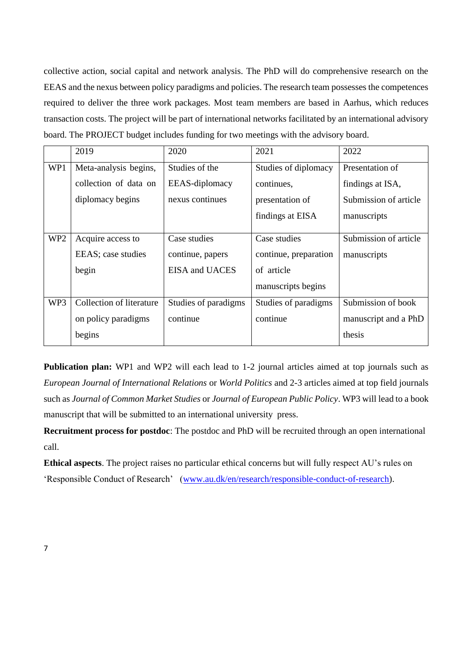collective action, social capital and network analysis. The PhD will do comprehensive research on the EEAS and the nexus between policy paradigms and policies. The research team possesses the competences required to deliver the three work packages. Most team members are based in Aarhus, which reduces transaction costs. The project will be part of international networks facilitated by an international advisory board. The PROJECT budget includes funding for two meetings with the advisory board.

|                 | 2019                     | 2020                 | 2021                  | 2022                  |
|-----------------|--------------------------|----------------------|-----------------------|-----------------------|
| WP1             | Meta-analysis begins,    | Studies of the       | Studies of diplomacy  | Presentation of       |
|                 | collection of data on    | EEAS-diplomacy       | continues,            | findings at ISA,      |
|                 | diplomacy begins         | nexus continues      | presentation of       | Submission of article |
|                 |                          |                      | findings at EISA      | manuscripts           |
| WP <sub>2</sub> | Acquire access to        | Case studies         | Case studies          | Submission of article |
|                 | EEAS; case studies       | continue, papers     | continue, preparation | manuscripts           |
|                 | begin                    | EISA and UACES       | of article            |                       |
|                 |                          |                      | manuscripts begins    |                       |
| WP3             | Collection of literature | Studies of paradigms | Studies of paradigms  | Submission of book    |
|                 | on policy paradigms      | continue             | continue              | manuscript and a PhD  |
|                 | begins                   |                      |                       | thesis                |

**Publication plan:** WP1 and WP2 will each lead to 1-2 journal articles aimed at top journals such as *European Journal of International Relations* or *World Politics* and 2-3 articles aimed at top field journals such as *Journal of Common Market Studies* or *Journal of European Public Policy*. WP3 will lead to a book manuscript that will be submitted to an international university press.

**Recruitment process for postdoc**: The postdoc and PhD will be recruited through an open international call.

**Ethical aspects**. The project raises no particular ethical concerns but will fully respect AU's rules on 'Responsible Conduct of Research' [\(www.au.dk/en/research/responsible-conduct-of-research\)](http://www.au.dk/en/research/responsible-conduct-of-research).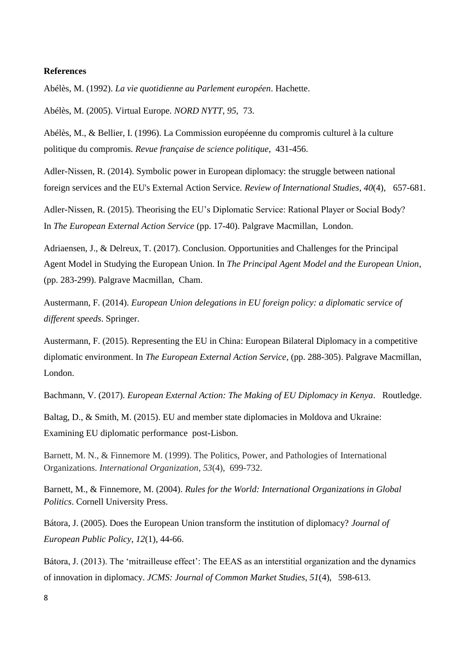#### **References**

Abélès, M. (1992). *La vie quotidienne au Parlement européen*. Hachette.

Abélès, M. (2005). Virtual Europe. *NORD NYTT*, *95*, 73.

Abélès, M., & Bellier, I. (1996). La Commission européenne du compromis culturel à la culture politique du compromis. *Revue française de science politique*, 431-456.

Adler-Nissen, R. (2014). Symbolic power in European diplomacy: the struggle between national foreign services and the EU's External Action Service. *Review of International Studies*, *40*(4), 657-681.

Adler-Nissen, R. (2015). Theorising the EU's Diplomatic Service: Rational Player or Social Body? In *The European External Action Service* (pp. 17-40). Palgrave Macmillan, London.

Adriaensen, J., & Delreux, T. (2017). Conclusion. Opportunities and Challenges for the Principal Agent Model in Studying the European Union. In *The Principal Agent Model and the European Union*, (pp. 283-299). Palgrave Macmillan, Cham.

Austermann, F. (2014). *European Union delegations in EU foreign policy: a diplomatic service of different speeds*. Springer.

Austermann, F. (2015). Representing the EU in China: European Bilateral Diplomacy in a competitive diplomatic environment. In *The European External Action Service*, (pp. 288-305). Palgrave Macmillan, London.

Bachmann, V. (2017). *European External Action: The Making of EU Diplomacy in Kenya*. Routledge.

Baltag, D., & Smith, M. (2015). EU and member state diplomacies in Moldova and Ukraine: Examining EU diplomatic performance post-Lisbon.

Barnett, M. N., & Finnemore M. (1999). The Politics, Power, and Pathologies of International Organizations. *International Organization*, *53*(4), 699-732.

Barnett, M., & Finnemore, M. (2004). *Rules for the World: International Organizations in Global Politics*. Cornell University Press.

Bátora, J. (2005). Does the European Union transform the institution of diplomacy? *Journal of European Public Policy*, *12*(1), 44-66.

Bátora, J. (2013). The 'mitrailleuse effect': The EEAS as an interstitial organization and the dynamics of innovation in diplomacy. *JCMS: Journal of Common Market Studies*, *51*(4), 598-613.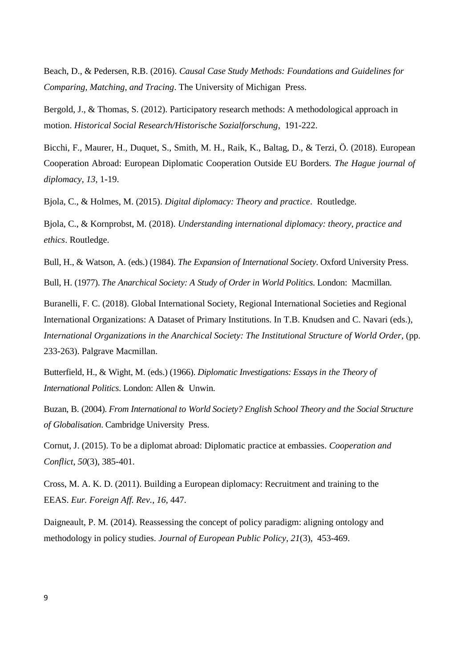Beach, D., & Pedersen, R.B. (2016). *Causal Case Study Methods: Foundations and Guidelines for Comparing, Matching, and Tracing*. The University of Michigan Press.

Bergold, J., & Thomas, S. (2012). Participatory research methods: A methodological approach in motion. *Historical Social Research/Historische Sozialforschung*, 191-222.

Bicchi, F., Maurer, H., Duquet, S., Smith, M. H., Raik, K., Baltag, D., & Terzi, Ö. (2018). European Cooperation Abroad: European Diplomatic Cooperation Outside EU Borders. *The Hague journal of diplomacy*, *13*, 1-19.

Bjola, C., & Holmes, M. (2015). *Digital diplomacy: Theory and practice*. Routledge.

Bjola, C., & Kornprobst, M. (2018). *Understanding international diplomacy: theory, practice and ethics*. Routledge.

Bull, H., & Watson, A. (eds.) (1984). *The Expansion of International Society*. Oxford University Press. Bull, H. (1977). *The Anarchical Society: A Study of Order in World Politics*. London: Macmillan.

Buranelli, F. C. (2018). Global International Society, Regional International Societies and Regional International Organizations: A Dataset of Primary Institutions. In T.B. Knudsen and C. Navari (eds.), *International Organizations in the Anarchical Society: The Institutional Structure of World Order*, (pp. 233-263). Palgrave Macmillan.

Butterfield, H., & Wight, M. (eds.) (1966). *Diplomatic Investigations: Essays in the Theory of International Politics*. London: Allen & Unwin.

Buzan, B. (2004). *From International to World Society? English School Theory and the Social Structure of Globalisation*. Cambridge University Press.

Cornut, J. (2015). To be a diplomat abroad: Diplomatic practice at embassies. *Cooperation and Conflict*, *50*(3), 385-401.

Cross, M. A. K. D. (2011). Building a European diplomacy: Recruitment and training to the EEAS. *Eur. Foreign Aff. Rev.*, *16*, 447.

Daigneault, P. M. (2014). Reassessing the concept of policy paradigm: aligning ontology and methodology in policy studies. *Journal of European Public Policy*, *21*(3), 453-469.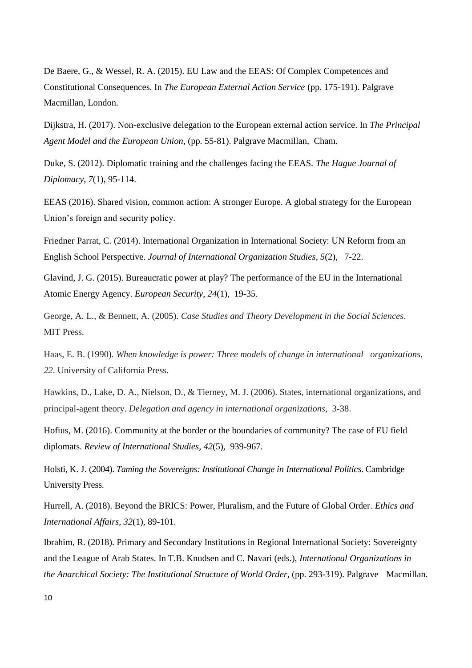De Baere, G., & Wessel, R. A. (2015). EU Law and the EEAS: Of Complex Competences and Constitutional Consequences. In *The European External Action Service* (pp. 175-191). Palgrave Macmillan, London.

Dijkstra, H. (2017). Non-exclusive delegation to the European external action service. In *The Principal Agent Model and the European Union*, (pp. 55-81). Palgrave Macmillan, Cham.

Duke, S. (2012). Diplomatic training and the challenges facing the EEAS. *The Hague Journal of Diplomacy*, *7*(1), 95-114.

EEAS (2016). Shared vision, common action: A stronger Europe. A global strategy for the European Union's foreign and security policy.

Friedner Parrat, C. (2014). International Organization in International Society: UN Reform from an English School Perspective. *Journal of International Organization Studies*, *5*(2), 7-22.

Glavind, J. G. (2015). Bureaucratic power at play? The performance of the EU in the International Atomic Energy Agency. *European Security*, *24*(1), 19-35.

George, A. L., & Bennett, A. (2005). *Case Studies and Theory Development in the Social Sciences*. MIT Press.

Haas, E. B. (1990). *When knowledge is power: Three models of change in international organizations*, *22*. University of California Press.

Hawkins, D., Lake, D. A., Nielson, D., & Tierney, M. J. (2006). States, international organizations, and principal-agent theory. *Delegation and agency in international organizations*, 3-38.

Hofius, M. (2016). Community at the border or the boundaries of community? The case of EU field diplomats. *Review of International Studies*, *42*(5), 939-967.

Holsti, K. J. (2004). *Taming the Sovereigns: Institutional Change in International Politics*. Cambridge University Press.

Hurrell, A. (2018). Beyond the BRICS: Power, Pluralism, and the Future of Global Order. *Ethics and International Affairs*, *32*(1), 89-101.

Ibrahim, R. (2018). Primary and Secondary Institutions in Regional International Society: Sovereignty and the League of Arab States. In T.B. Knudsen and C. Navari (eds.), *International Organizations in the Anarchical Society: The Institutional Structure of World Order*, (pp. 293-319). Palgrave Macmillan.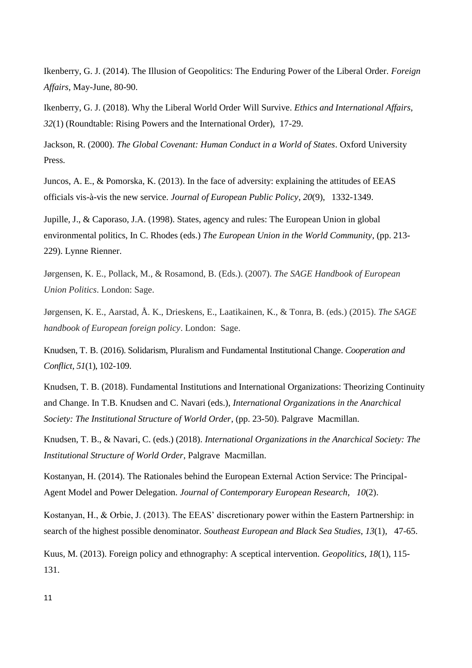Ikenberry, G. J. (2014). The Illusion of Geopolitics: The Enduring Power of the Liberal Order. *Foreign Affairs*, May-June, 80-90.

Ikenberry, G. J. (2018). Why the Liberal World Order Will Survive. *Ethics and International Affairs*, *32*(1) (Roundtable: Rising Powers and the International Order), 17-29.

Jackson, R. (2000). *The Global Covenant: Human Conduct in a World of States*. Oxford University Press.

Juncos, A. E., & Pomorska, K. (2013). In the face of adversity: explaining the attitudes of EEAS officials vis-à-vis the new service. *Journal of European Public Policy*, *20*(9), 1332-1349.

Jupille, J., & Caporaso, J.A. (1998). States, agency and rules: The European Union in global environmental politics, In C. Rhodes (eds.) *The European Union in the World Community*, (pp. 213- 229). Lynne Rienner.

Jørgensen, K. E., Pollack, M., & Rosamond, B. (Eds.). (2007). *The SAGE Handbook of European Union Politics*. London: Sage.

Jørgensen, K. E., Aarstad, Å. K., Drieskens, E., Laatikainen, K., & Tonra, B. (eds.) (2015). *The SAGE handbook of European foreign policy*. London: Sage.

Knudsen, T. B. (2016). Solidarism, Pluralism and Fundamental Institutional Change. *Cooperation and Conflict*, *51*(1), 102-109.

Knudsen, T. B. (2018). Fundamental Institutions and International Organizations: Theorizing Continuity and Change. In T.B. Knudsen and C. Navari (eds.), *International Organizations in the Anarchical Society: The Institutional Structure of World Order*, (pp. 23-50). Palgrave Macmillan.

Knudsen, T. B., & Navari, C. (eds.) (2018). *International Organizations in the Anarchical Society: The Institutional Structure of World Order*, Palgrave Macmillan.

Kostanyan, H. (2014). The Rationales behind the European External Action Service: The Principal-Agent Model and Power Delegation. *Journal of Contemporary European Research*, *10*(2).

Kostanyan, H., & Orbie, J. (2013). The EEAS' discretionary power within the Eastern Partnership: in search of the highest possible denominator. *Southeast European and Black Sea Studies*, *13*(1), 47-65.

Kuus, M. (2013). Foreign policy and ethnography: A sceptical intervention. *Geopolitics*, *18*(1), 115- 131.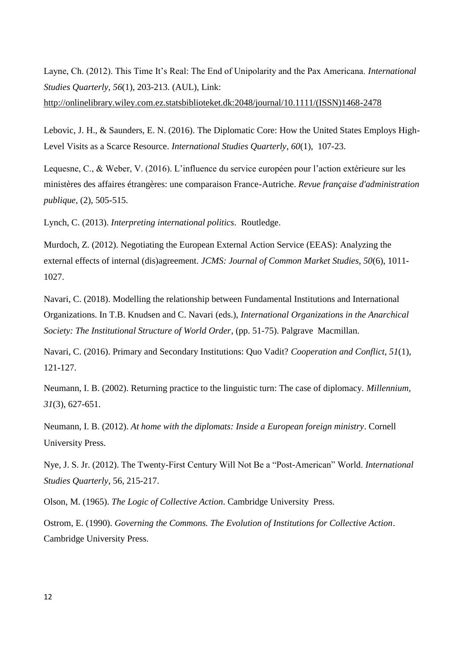Layne, Ch. (2012). This Time It's Real: The End of Unipolarity and the Pax Americana. *International Studies Quarterly*, *56*(1), 203-213. (AUL), Link:

http://onlinelibrary.wiley.com.ez.statsbiblioteket.dk:2048/journal/10.1111/(ISSN)1468-2478

Lebovic, J. H., & Saunders, E. N. (2016). The Diplomatic Core: How the United States Employs High-Level Visits as a Scarce Resource. *International Studies Quarterly*, *60*(1), 107-23.

Lequesne, C., & Weber, V. (2016). L'influence du service européen pour l'action extérieure sur les ministères des affaires étrangères: une comparaison France-Autriche. *Revue française d'administration publique*, (2), 505-515.

Lynch, C. (2013). *Interpreting international politics*. Routledge.

Murdoch, Z. (2012). Negotiating the European External Action Service (EEAS): Analyzing the external effects of internal (dis)agreement. *JCMS: Journal of Common Market Studies*, *50*(6), 1011- 1027.

Navari, C. (2018). Modelling the relationship between Fundamental Institutions and International Organizations. In T.B. Knudsen and C. Navari (eds.), *International Organizations in the Anarchical Society: The Institutional Structure of World Order*, (pp. 51-75). Palgrave Macmillan.

Navari, C. (2016). Primary and Secondary Institutions: Quo Vadit? *Cooperation and Conflict*, *51*(1), 121-127.

Neumann, I. B. (2002). Returning practice to the linguistic turn: The case of diplomacy. *Millennium, 31*(3), 627-651.

Neumann, I. B. (2012). *At home with the diplomats: Inside a European foreign ministry*. Cornell University Press.

Nye, J. S. Jr. (2012). The Twenty-First Century Will Not Be a "Post-American" World. *International Studies Quarterly*, 56, 215-217.

Olson, M. (1965). *The Logic of Collective Action*. Cambridge University Press.

Ostrom, E. (1990). *Governing the Commons. The Evolution of Institutions for Collective Action*. Cambridge University Press.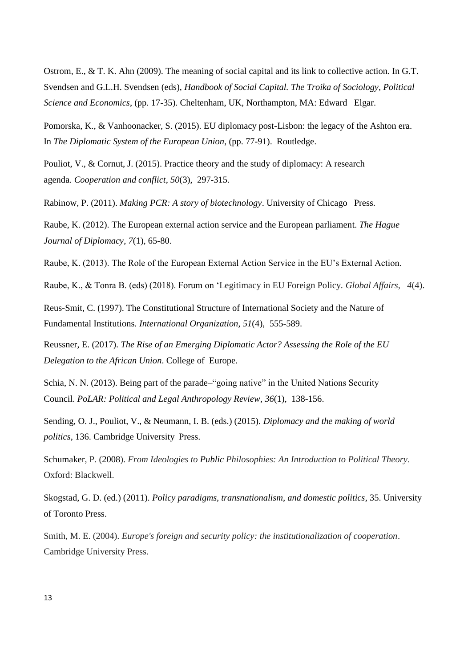Ostrom, E., & T. K. Ahn (2009). The meaning of social capital and its link to collective action. In G.T. Svendsen and G.L.H. Svendsen (eds), *Handbook of Social Capital. The Troika of Sociology, Political Science and Economics*, (pp. 17-35). Cheltenham, UK, Northampton, MA: Edward Elgar.

Pomorska, K., & Vanhoonacker, S. (2015). EU diplomacy post-Lisbon: the legacy of the Ashton era. In *The Diplomatic System of the European Union*, (pp. 77-91). Routledge.

Pouliot, V., & Cornut, J. (2015). Practice theory and the study of diplomacy: A research agenda. *Cooperation and conflict*, *50*(3), 297-315.

Rabinow, P. (2011). *Making PCR: A story of biotechnology*. University of Chicago Press.

Raube, K. (2012). The European external action service and the European parliament. *The Hague Journal of Diplomacy*, *7*(1), 65-80.

Raube, K. (2013). The Role of the European External Action Service in the EU's External Action.

Raube, K., & Tonra B. (eds) (2018). Forum on 'Legitimacy in EU Foreign Policy. *Global Affairs*, *4*(4).

Reus-Smit, C. (1997). The Constitutional Structure of International Society and the Nature of Fundamental Institutions. *International Organization*, *51*(4), 555-589.

Reussner, E. (2017). *The Rise of an Emerging Diplomatic Actor? Assessing the Role of the EU Delegation to the African Union*. College of Europe.

Schia, N. N. (2013). Being part of the parade–"going native" in the United Nations Security Council. *PoLAR: Political and Legal Anthropology Review*, *36*(1), 138-156.

Sending, O. J., Pouliot, V., & Neumann, I. B. (eds.) (2015). *Diplomacy and the making of world politics*, 136. Cambridge University Press.

Schumaker, P. (2008). *From Ideologies to Public Philosophies: An Introduction to Political Theory*. Oxford: Blackwell.

Skogstad, G. D. (ed.) (2011). *Policy paradigms, transnationalism, and domestic politics*, 35. University of Toronto Press.

Smith, M. E. (2004). *Europe's foreign and security policy: the institutionalization of cooperation*. Cambridge University Press.